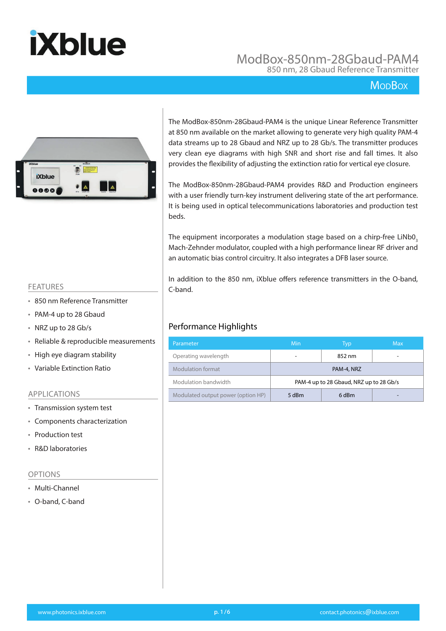### ModBox-850nm-28Gbaud-PAM4 850 nm, 28 Gbaud Reference Transmitter

### **MopBox**



The ModBox-850nm-28Gbaud-PAM4 is the unique Linear Reference Transmitter at 850 nm available on the market allowing to generate very high quality PAM-4 data streams up to 28 Gbaud and NRZ up to 28 Gb/s. The transmitter produces very clean eye diagrams with high SNR and short rise and fall times. It also provides the flexibility of adjusting the extinction ratio for vertical eye closure.

The ModBox-850nm-28Gbaud-PAM4 provides R&D and Production engineers with a user friendly turn-key instrument delivering state of the art performance. It is being used in optical telecommunications laboratories and production test beds.

The equipment incorporates a modulation stage based on a chirp-free LiNb0<sub>3</sub> Mach-Zehnder modulator, coupled with a high performance linear RF driver and an automatic bias control circuitry. It also integrates a DFB laser source.

In addition to the 850 nm, iXblue offers reference transmitters in the O-band, C-band.

### Performance Highlights

| Parameter                          | Min                                     | <b>Max</b> |  |  |  |
|------------------------------------|-----------------------------------------|------------|--|--|--|
| Operating wavelength               |                                         |            |  |  |  |
| Modulation format                  | PAM-4, NRZ                              |            |  |  |  |
| Modulation bandwidth               | PAM-4 up to 28 Gbaud, NRZ up to 28 Gb/s |            |  |  |  |
| Modulated output power (option HP) | 5 dBm                                   | 6 dBm      |  |  |  |

#### FEATURES

- 850 nm Reference Transmitter
- PAM-4 up to 28 Gbaud
- NRZ up to 28 Gb/s
- Reliable & reproducible measurements
- High eye diagram stability
- Variable Extinction Ratio

#### APPLICATIONS

- Transmission system test
- Components characterization
- Production test
- R&D laboratories

#### OPTIONS

- Multi-Channel
- O-band, C-band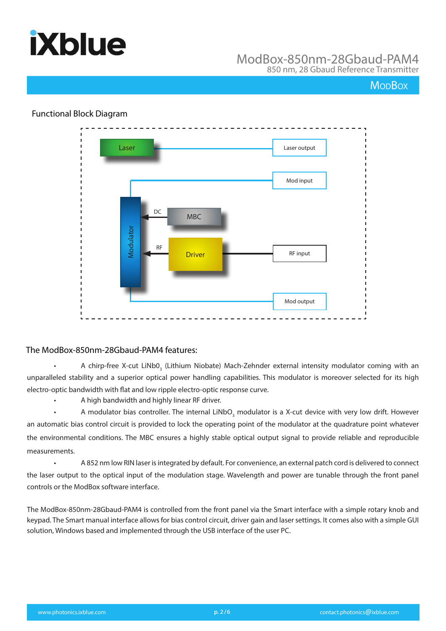

### ModBox-850nm-28Gbaud-PAM4 850 nm, 28 Gbaud Reference Transmitter

### **MopBox**



### Functional Block Diagram

• A chirp-free X-cut LiNb0<sub>3</sub> (Lithium Niobate) Mach-Zehnder external intensity modulator coming with an unparalleled stability and a superior optical power handling capabilities. This modulator is moreover selected for its high electro-optic bandwidth with flat and low ripple electro-optic response curve.

• A high bandwidth and highly linear RF driver.

• A modulator bias controller. The internal LiNbO<sub>3</sub> modulator is a X-cut device with very low drift. However an automatic bias control circuit is provided to lock the operating point of the modulator at the quadrature point whatever the environmental conditions. The MBC ensures a highly stable optical output signal to provide reliable and reproducible measurements.

• A 852 nm low RIN laser is integrated by default. For convenience, an external patch cord is delivered to connect the laser output to the optical input of the modulation stage. Wavelength and power are tunable through the front panel controls or the ModBox software interface.

The ModBox-850nm-28Gbaud-PAM4 is controlled from the front panel via the Smart interface with a simple rotary knob and keypad. The Smart manual interface allows for bias control circuit, driver gain and laser settings. It comes also with a simple GUI solution, Windows based and implemented through the USB interface of the user PC.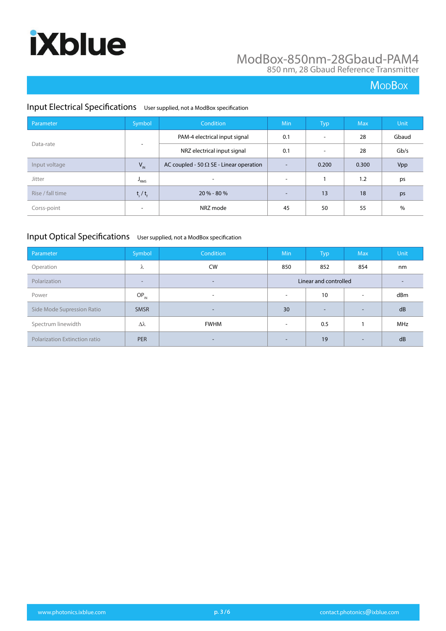### ModBox-850nm-28Gbaud-PAM4 850 nm, 28 Gbaud Reference Transmitter

### **MoDBox**

### Input Electrical Specifications User supplied, not a ModBox specification

| Parameter        | Symbol                    | Condition                                      | Min                      | Typ                      | <b>Max</b> | <b>Unit</b> |
|------------------|---------------------------|------------------------------------------------|--------------------------|--------------------------|------------|-------------|
| Data-rate        |                           | PAM-4 electrical input signal                  | 0.1                      | $\overline{\phantom{a}}$ | 28         | Gbaud       |
|                  |                           | NRZ electrical input signal                    | 0.1                      | $\overline{\phantom{a}}$ | 28         | Gb/s        |
| Input voltage    | $V_{IN}$                  | AC coupled - 50 $\Omega$ SE - Linear operation | $\overline{\phantom{a}}$ | 0.200                    | 0.300      | Vpp         |
| Jitter           | $P_{RMS}$                 | $\overline{\phantom{a}}$                       | $\overline{\phantom{a}}$ |                          | 1.2        | ps          |
| Rise / fall time | $t_{\rm r}$ / $t_{\rm f}$ | $20 \% - 80 \%$                                | $\overline{\phantom{0}}$ | 13                       | 18         | ps          |
| Corss-point      | $\overline{\phantom{a}}$  | NRZ mode                                       | 45                       | 50                       | 55         | $\%$        |

### Input Optical Specifications User supplied, not a ModBox specification

| Parameter                            | Symbol                   | Condition                | Min                      | Typ                   | <b>Max</b>               | Unit |
|--------------------------------------|--------------------------|--------------------------|--------------------------|-----------------------|--------------------------|------|
| Operation                            | λ                        | <b>CW</b>                | 850                      | 852                   | 854                      | nm   |
| Polarization                         | $\overline{\phantom{0}}$ | $\overline{\phantom{a}}$ |                          | Linear and controlled |                          | -    |
| Power                                | $OP_{IN}$                | $\overline{\phantom{a}}$ | $\overline{\phantom{0}}$ | 10                    | $\overline{\phantom{a}}$ | dBm  |
| Side Mode Supression Ratio           | <b>SMSR</b>              | $\overline{\phantom{a}}$ | 30                       | -                     | $\overline{\phantom{a}}$ | dB   |
| Spectrum linewidth                   | Δλ                       | <b>FWHM</b>              | $\overline{\phantom{a}}$ | 0.5                   |                          | MHz  |
| <b>Polarization Extinction ratio</b> | <b>PER</b>               | $\overline{\phantom{a}}$ | $\overline{\phantom{0}}$ | 19                    | -                        | dB   |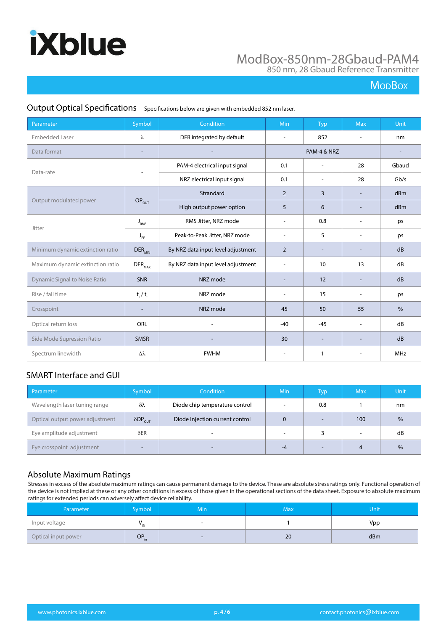### ModBox-850nm-28Gbaud-PAM4 850 nm, 28 Gbaud Reference Transmitter

### **MoDBox**

| Parameter                            | Symbol                    | Condition                          | Min                      | <b>Typ</b>               | <b>Max</b>               | Unit          |
|--------------------------------------|---------------------------|------------------------------------|--------------------------|--------------------------|--------------------------|---------------|
| <b>Embedded Laser</b>                | λ                         | DFB integrated by default          |                          | 852                      | $\overline{\phantom{a}}$ | nm            |
| Data format                          |                           |                                    |                          | PAM-4 & NRZ              |                          |               |
|                                      |                           | PAM-4 electrical input signal      | 0.1                      | $\overline{\phantom{a}}$ | 28                       | Gbaud         |
| Data-rate                            |                           | NRZ electrical input signal        | 0.1                      | $\overline{\phantom{a}}$ | 28                       | Gb/s          |
|                                      |                           | Strandard                          | $\overline{2}$           | 3                        |                          | dBm           |
| Output modulated power               | $OP_{OUT}$                | High output power option           | 5                        | 6                        | $\overline{a}$           | dBm           |
| Jitter                               | $J_{RMS}$                 | RMS Jitter, NRZ mode               | $\overline{\phantom{a}}$ | 0.8                      | $\overline{\phantom{a}}$ | ps            |
|                                      | $J_{\rm pp}$              | Peak-to-Peak Jitter, NRZ mode      | $\overline{\phantom{a}}$ | 5                        | $\sim$                   | ps            |
| Minimum dynamic extinction ratio     | $DER_{MIN}$               | By NRZ data input level adjustment | $\overline{2}$           |                          |                          | dB            |
| Maximum dynamic extinction ratio     | $\text{DER}_{\text{MAX}}$ | By NRZ data input level adjustment | $\overline{\phantom{a}}$ | 10                       | 13                       | dB            |
| <b>Dynamic Signal to Noise Ratio</b> | <b>SNR</b>                | NRZ mode                           | $\overline{\phantom{a}}$ | 12                       | $\overline{\phantom{a}}$ | dB            |
| Rise / fall time                     | $t_{\rm r}$ / $t_{\rm r}$ | NRZ mode                           | $\overline{\phantom{a}}$ | 15                       | $\overline{\phantom{a}}$ | ps            |
| Crosspoint                           |                           | NRZ mode                           | 45                       | 50                       | 55                       | $\frac{0}{0}$ |
| Optical return loss                  | ORL                       | ÷                                  | $-40$                    | $-45$                    | $\blacksquare$           | dB            |
| Side Mode Supression Ratio           | <b>SMSR</b>               |                                    | 30                       |                          | $\overline{a}$           | dB            |
| Spectrum linewidth                   | $\Delta\lambda$           | <b>FWHM</b>                        |                          | 1                        |                          | <b>MHz</b>    |

### Output Optical Specifications Specifications below are given with embedded 852 nm laser.

### SMART Interface and GUI

| Parameter                       | Symbol                     | Condition                       | Min                      | Typ | <b>Max</b>               | Unit          |
|---------------------------------|----------------------------|---------------------------------|--------------------------|-----|--------------------------|---------------|
| Wavelength laser tuning range   | $\delta\lambda$            | Diode chip temperature control  | $\overline{\phantom{a}}$ | 0.8 |                          | nm            |
| Optical output power adjustment | $\delta$ OP <sub>OUT</sub> | Diode Injection current control | $\Omega$                 |     | 100                      | $\frac{0}{6}$ |
| Eye amplitude adjustment        | $\delta$ ER                |                                 | $\overline{\phantom{a}}$ |     | $\overline{\phantom{a}}$ | dB            |
| Eye crosspoint adjustment       |                            |                                 | -4                       |     |                          | $\frac{0}{6}$ |

### Absolute Maximum Ratings

Stresses in excess of the absolute maximum ratings can cause permanent damage to the device. These are absolute stress ratings only. Functional operation of the device is not implied at these or any other conditions in excess of those given in the operational sections of the data sheet. Exposure to absolute maximum ratings for extended periods can adversely affect device reliability.

| Parameter           | Symbol           | <b>Min</b> | Max | Unit |
|---------------------|------------------|------------|-----|------|
| Input voltage       | " וי             | . .        |     | Vpp  |
| Optical input power | OP <sub>in</sub> | $\sim$     | 20  | dBm  |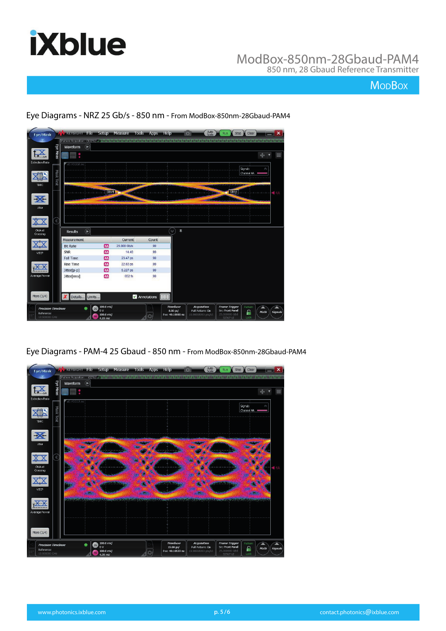

### ModBox-850nm-28Gbaud-PAM4 850 nm, 28 Gbaud Reference Transmitter

### **MoDBox**



Eye Diagrams - NRZ 25 Gb/s - 850 nm - From ModBox-850nm-28Gbaud-PAM4

Eye Diagrams - PAM-4 25 Gbaud - 850 nm - From ModBox-850nm-28Gbaud-PAM4